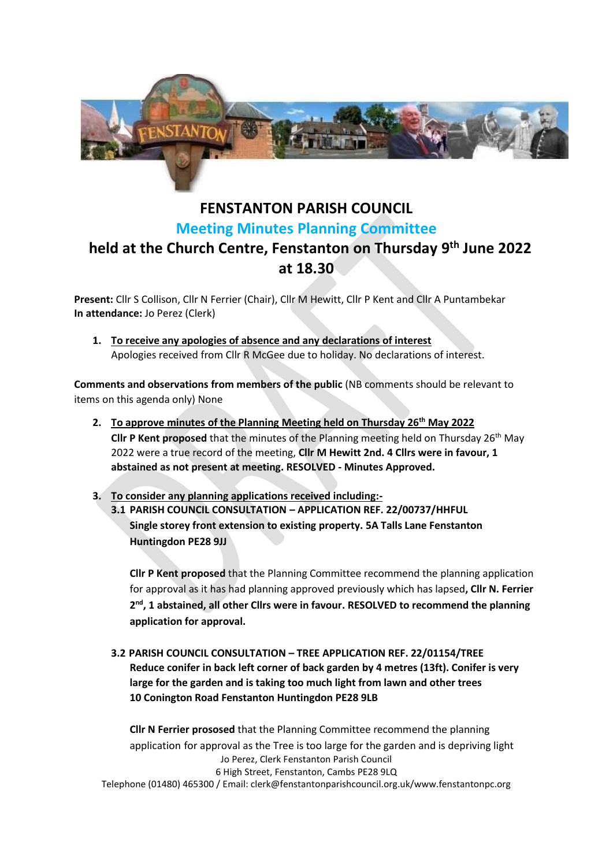

## **FENSTANTON PARISH COUNCIL Meeting Minutes Planning Committee held at the Church Centre, Fenstanton on Thursday 9 th June 2022 at 18.30**

**Present:** Cllr S Collison, Cllr N Ferrier (Chair), Cllr M Hewitt, Cllr P Kent and Cllr A Puntambekar **In attendance:** Jo Perez (Clerk)

**1. To receive any apologies of absence and any declarations of interest** Apologies received from Cllr R McGee due to holiday. No declarations of interest.

**Comments and observations from members of the public** (NB comments should be relevant to items on this agenda only) None

- **2. To approve minutes of the Planning Meeting held on Thursday 26th May 2022 Cllr P Kent proposed** that the minutes of the Planning meeting held on Thursday 26<sup>th</sup> May 2022 were a true record of the meeting, **Cllr M Hewitt 2nd. 4 Cllrs were in favour, 1 abstained as not present at meeting. RESOLVED - Minutes Approved.**
- **3. To consider any planning applications received including:- 3.1 PARISH COUNCIL CONSULTATION – APPLICATION REF. 22/00737/HHFUL Single storey front extension to existing property. 5A Talls Lane Fenstanton Huntingdon PE28 9JJ**

**Cllr P Kent proposed** that the Planning Committee recommend the planning application for approval as it has had planning approved previously which has lapsed**, Cllr N. Ferrier 2 nd, 1 abstained, all other Cllrs were in favour. RESOLVED to recommend the planning application for approval.**

**3.2 PARISH COUNCIL CONSULTATION – TREE APPLICATION REF. 22/01154/TREE Reduce conifer in back left corner of back garden by 4 metres (13ft). Conifer is very large for the garden and is taking too much light from lawn and other trees 10 Conington Road Fenstanton Huntingdon PE28 9LB**

Jo Perez, Clerk Fenstanton Parish Council 6 High Street, Fenstanton, Cambs PE28 9LQ Telephone (01480) 465300 / Email: clerk@fenstantonparishcouncil.org.uk/www.fenstantonpc.org **Cllr N Ferrier prososed** that the Planning Committee recommend the planning application for approval as the Tree is too large for the garden and is depriving light